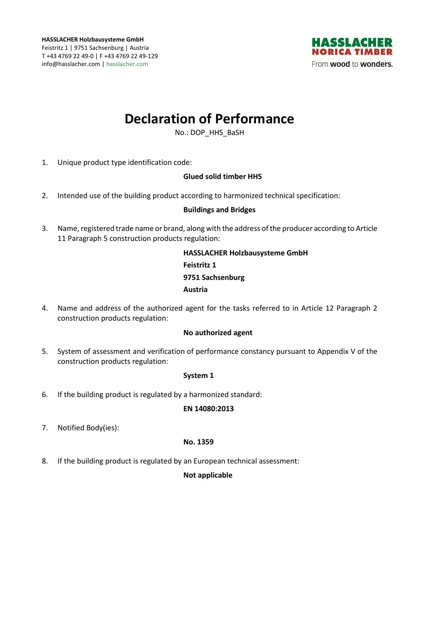

# **Declaration of Performance**

No.: DOP\_HHS\_BaSH

1. Unique product type identification code:

# **Glued solid timber HHS**

2. Intended use of the building product according to harmonized technical specification:

## **Buildings and Bridges**

3. Name, registered trade name or brand, along with the address of the producer according to Article 11 Paragraph 5 construction products regulation:

> **HASSLACHER Holzbausysteme GmbH Feistritz 1 9751 Sachsenburg Austria**

4. Name and address of the authorized agent for the tasks referred to in Article 12 Paragraph 2 construction products regulation:

## **No authorized agent**

5. System of assessment and verification of performance constancy pursuant to Appendix V of the construction products regulation:

## **System 1**

6. If the building product is regulated by a harmonized standard:

## **EN 14080:2013**

7. Notified Body(ies):

## **No. 1359**

8. If the building product is regulated by an European technical assessment:

## **Not applicable**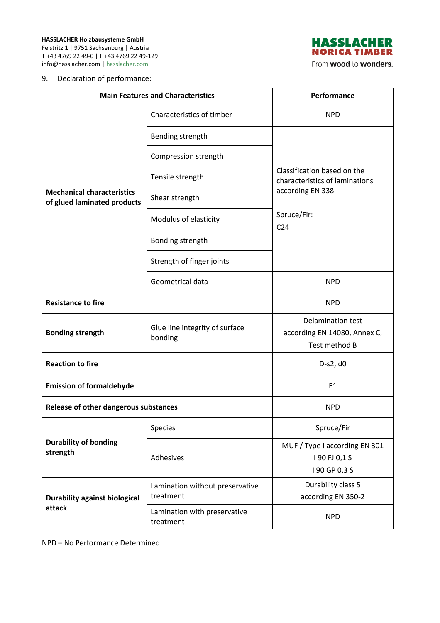

From wood to wonders.

## 9. Declaration of performance:

| <b>Main Features and Characteristics</b>                         |                                              | Performance                                                               |
|------------------------------------------------------------------|----------------------------------------------|---------------------------------------------------------------------------|
| <b>Mechanical characteristics</b><br>of glued laminated products | Characteristics of timber                    | <b>NPD</b>                                                                |
|                                                                  | Bending strength                             |                                                                           |
|                                                                  | Compression strength                         | Classification based on the<br>characteristics of laminations             |
|                                                                  | Tensile strength                             |                                                                           |
|                                                                  | Shear strength                               | according EN 338                                                          |
|                                                                  | Modulus of elasticity                        | Spruce/Fir:<br>C <sub>24</sub>                                            |
|                                                                  | Bonding strength                             |                                                                           |
|                                                                  | Strength of finger joints                    |                                                                           |
|                                                                  | Geometrical data                             | <b>NPD</b>                                                                |
| <b>Resistance to fire</b>                                        |                                              | <b>NPD</b>                                                                |
| <b>Bonding strength</b>                                          | Glue line integrity of surface<br>bonding    | <b>Delamination test</b><br>according EN 14080, Annex C,<br>Test method B |
| <b>Reaction to fire</b>                                          |                                              | D-s2, d0                                                                  |
| <b>Emission of formaldehyde</b>                                  |                                              | E <sub>1</sub>                                                            |
| Release of other dangerous substances                            |                                              | <b>NPD</b>                                                                |
| <b>Durability of bonding</b><br>strength                         | Species                                      | Spruce/Fir                                                                |
|                                                                  | Adhesives                                    | MUF / Type I according EN 301<br>190 FJ 0,1 S<br>I 90 GP 0,3 S            |
| <b>Durability against biological</b><br>attack                   | Lamination without preservative<br>treatment | Durability class 5<br>according EN 350-2                                  |
|                                                                  | Lamination with preservative<br>treatment    | <b>NPD</b>                                                                |

NPD – No Performance Determined